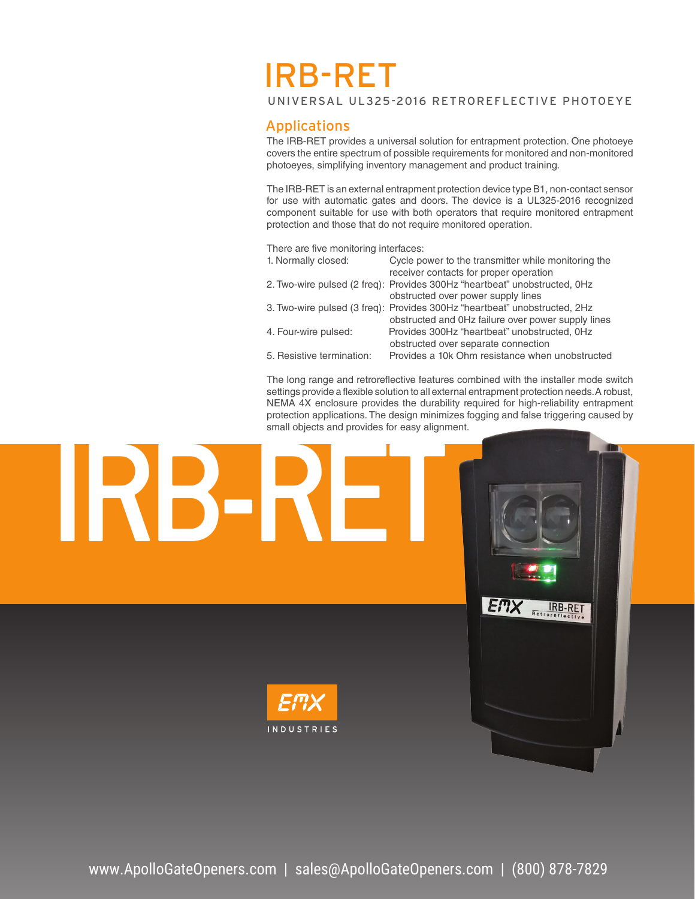# IRB-RET

UNIVERSAL UL325-2016 RETROREFLECTIVE PHOTOEYE

## Applications

The IRB-RET provides a universal solution for entrapment protection. One photoeye covers the entire spectrum of possible requirements for monitored and non-monitored photoeyes, simplifying inventory management and product training.

The IRB-RET is an external entrapment protection device type B1, non-contact sensor for use with automatic gates and doors. The device is a UL325-2016 recognized component suitable for use with both operators that require monitored entrapment protection and those that do not require monitored operation.

There are five monitoring interfaces:

| 1. Normally closed:  | Cycle power to the transmitter while monitoring the                       |
|----------------------|---------------------------------------------------------------------------|
|                      | receiver contacts for proper operation                                    |
|                      | 2. Two-wire pulsed (2 freq): Provides 300Hz "heartbeat" unobstructed, 0Hz |
|                      | obstructed over power supply lines                                        |
|                      | 3. Two-wire pulsed (3 freq): Provides 300Hz "heartbeat" unobstructed, 2Hz |
|                      | obstructed and OHz failure over power supply lines                        |
| 4. Four-wire pulsed: | Provides 300Hz "heartbeat" unobstructed, OHz                              |
|                      | obstructed over separate connection                                       |
|                      |                                                                           |

5. Resistive termination: Provides a 10k Ohm resistance when unobstructed

The long range and retroreflective features combined with the installer mode switch settings provide a flexible solution to all external entrapment protection needs. A robust, NEMA 4X enclosure provides the durability required for high-reliability entrapment protection applications. The design minimizes fogging and false triggering caused by small objects and provides for easy alignment.